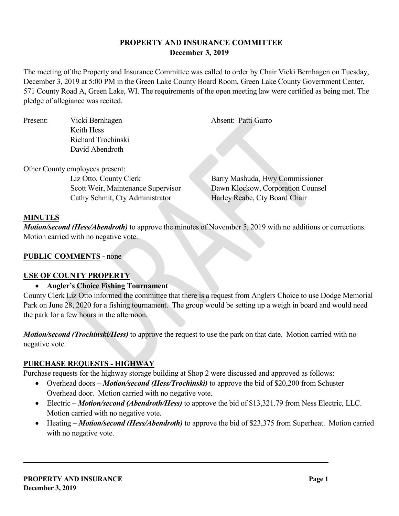## **PROPERTY AND INSURANCE COMMITTEE December 3, 2019**

The meeting of the Property and Insurance Committee was called to order by Chair Vicki Bernhagen on Tuesday, December 3, 2019 at 5:00 PM in the Green Lake County Board Room, Green Lake County Government Center, 571 County Road A, Green Lake, WI. The requirements of the open meeting law were certified as being met. The pledge of allegiance was recited.

| Present: | Vicki Bernhagen                    | Absent: Patti Garro               |
|----------|------------------------------------|-----------------------------------|
|          | Keith Hess                         |                                   |
|          | Richard Trochinski                 |                                   |
|          | David Abendroth                    |                                   |
|          |                                    |                                   |
|          | Other County employees present:    |                                   |
|          | Liz Otto, County Clerk             | Barry Mashuda, Hwy Commissioner   |
|          | Scott Weir, Maintenance Supervisor | Dawn Klockow, Corporation Counsel |
|          | Cathy Schmit, Cty Administrator    | Harley Reabe, Cty Board Chair     |
|          |                                    |                                   |

## **MINUTES**

*Motion/second (Hess/Abendroth)* to approve the minutes of November 5, 2019 with no additions or corrections. Motion carried with no negative vote.

## **PUBLIC COMMENTS -** none

### **USE OF COUNTY PROPERTY**

### • **Angler's Choice Fishing Tournament**

County Clerk Liz Otto informed the committee that there is a request from Anglers Choice to use Dodge Memorial Park on June 28, 2020 for a fishing tournament. The group would be setting up a weigh in board and would need the park for a few hours in the afternoon.

*Motion/second (Trochinski/Hess)* to approve the request to use the park on that date. Motion carried with no negative vote.

### **PURCHASE REQUESTS - HIGHWAY**

Purchase requests for the highway storage building at Shop 2 were discussed and approved as follows:

- Overhead doors *Motion/second (Hess/Trochinski)* to approve the bid of \$20,200 from Schuster Overhead door. Motion carried with no negative vote.
- Electric *Motion/second (Abendroth/Hess)* to approve the bid of \$13,321.79 from Ness Electric, LLC. Motion carried with no negative vote.
- Heating *Motion/second (Hess/Abendroth)* to approve the bid of \$23,375 from Superheat. Motion carried with no negative vote.